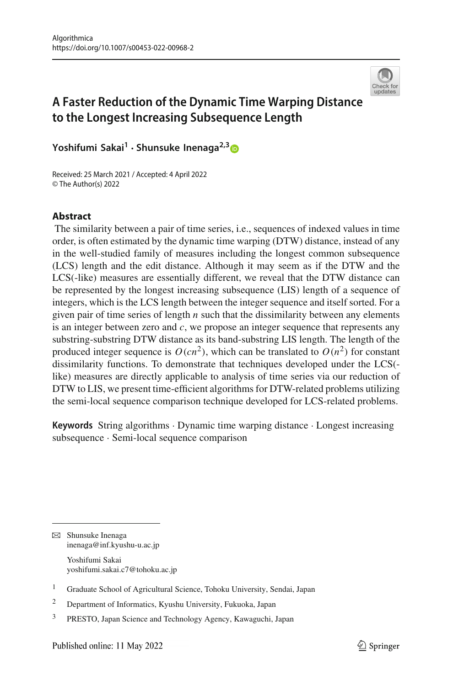

# **A Faster Reduction of the Dynamic Time Warping Distance to the Longest Increasing Subsequence Length**

**Yoshifumi Sakai<sup>1</sup> · Shunsuke Inenaga2,[3](http://orcid.org/0000-0002-1833-010X)**

Received: 25 March 2021 / Accepted: 4 April 2022 © The Author(s) 2022

#### **Abstract**

The similarity between a pair of time series, i.e., sequences of indexed values in time order, is often estimated by the dynamic time warping (DTW) distance, instead of any in the well-studied family of measures including the longest common subsequence (LCS) length and the edit distance. Although it may seem as if the DTW and the LCS(-like) measures are essentially different, we reveal that the DTW distance can be represented by the longest increasing subsequence (LIS) length of a sequence of integers, which is the LCS length between the integer sequence and itself sorted. For a given pair of time series of length *n* such that the dissimilarity between any elements is an integer between zero and *c*, we propose an integer sequence that represents any substring-substring DTW distance as its band-substring LIS length. The length of the produced integer sequence is  $O(cn^2)$ , which can be translated to  $O(n^2)$  for constant dissimilarity functions. To demonstrate that techniques developed under the LCS( like) measures are directly applicable to analysis of time series via our reduction of DTW to LIS, we present time-efficient algorithms for DTW-related problems utilizing the semi-local sequence comparison technique developed for LCS-related problems.

**Keywords** String algorithms · Dynamic time warping distance · Longest increasing subsequence · Semi-local sequence comparison

 $\boxtimes$  Shunsuke Inenaga inenaga@inf.kyushu-u.ac.jp Yoshifumi Sakai yoshifumi.sakai.c7@tohoku.ac.jp

<sup>&</sup>lt;sup>1</sup> Graduate School of Agricultural Science, Tohoku University, Sendai, Japan

<sup>2</sup> Department of Informatics, Kyushu University, Fukuoka, Japan

<sup>3</sup> PRESTO, Japan Science and Technology Agency, Kawaguchi, Japan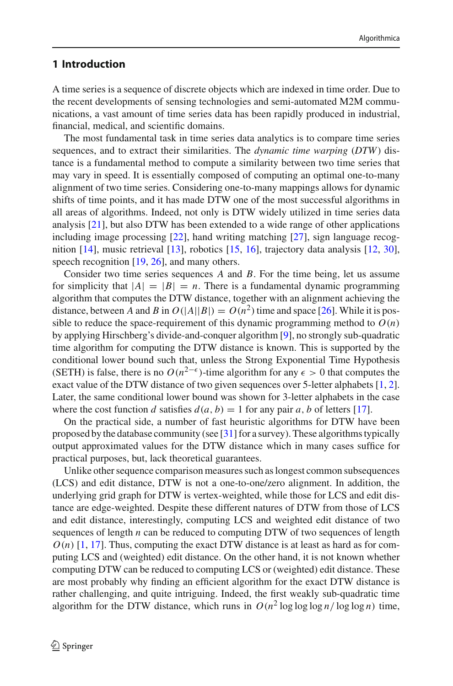### **1 Introduction**

A time series is a sequence of discrete objects which are indexed in time order. Due to the recent developments of sensing technologies and semi-automated M2M communications, a vast amount of time series data has been rapidly produced in industrial, financial, medical, and scientific domains.

The most fundamental task in time series data analytics is to compare time series sequences, and to extract their similarities. The *dynamic time warping* (*DTW*) distance is a fundamental method to compute a similarity between two time series that may vary in speed. It is essentially composed of computing an optimal one-to-many alignment of two time series. Considering one-to-many mappings allows for dynamic shifts of time points, and it has made DTW one of the most successful algorithms in all areas of algorithms. Indeed, not only is DTW widely utilized in time series data analysis [\[21\]](#page-14-0), but also DTW has been extended to a wide range of other applications including image processing [\[22](#page-14-1)], hand writing matching [\[27\]](#page-14-2), sign language recognition [\[14](#page-14-3)], music retrieval [\[13](#page-14-4)], robotics [\[15,](#page-14-5) [16](#page-14-6)], trajectory data analysis [\[12,](#page-14-7) [30](#page-14-8)], speech recognition [\[19](#page-14-9), [26](#page-14-10)], and many others.

Consider two time series sequences *A* and *B*. For the time being, let us assume for simplicity that  $|A|=|B|=n$ . There is a fundamental dynamic programming algorithm that computes the DTW distance, together with an alignment achieving the distance, between *A* and *B* in  $O(|A||B|) = O(n^2)$  time and space [\[26\]](#page-14-10). While it is possible to reduce the space-requirement of this dynamic programming method to  $O(n)$ by applying Hirschberg's divide-and-conquer algorithm [\[9](#page-14-11)], no strongly sub-quadratic time algorithm for computing the DTW distance is known. This is supported by the conditional lower bound such that, unless the Strong Exponential Time Hypothesis (SETH) is false, there is no  $O(n^{2-\epsilon})$ -time algorithm for any  $\epsilon > 0$  that computes the exact value of the DTW distance of two given sequences over 5-letter alphabets [\[1,](#page-14-12) [2](#page-14-13)]. Later, the same conditional lower bound was shown for 3-letter alphabets in the case where the cost function *d* satisfies  $d(a, b) = 1$  for any pair *a*, *b* of letters [\[17](#page-14-14)].

On the practical side, a number of fast heuristic algorithms for DTW have been proposed by the database community (see [\[31\]](#page-15-0) for a survey). These algorithms typically output approximated values for the DTW distance which in many cases suffice for practical purposes, but, lack theoretical guarantees.

Unlike other sequence comparison measures such as longest common subsequences (LCS) and edit distance, DTW is not a one-to-one/zero alignment. In addition, the underlying grid graph for DTW is vertex-weighted, while those for LCS and edit distance are edge-weighted. Despite these different natures of DTW from those of LCS and edit distance, interestingly, computing LCS and weighted edit distance of two sequences of length *n* can be reduced to computing DTW of two sequences of length  $O(n)$  [\[1,](#page-14-12) [17\]](#page-14-14). Thus, computing the exact DTW distance is at least as hard as for computing LCS and (weighted) edit distance. On the other hand, it is not known whether computing DTW can be reduced to computing LCS or (weighted) edit distance. These are most probably why finding an efficient algorithm for the exact DTW distance is rather challenging, and quite intriguing. Indeed, the first weakly sub-quadratic time algorithm for the DTW distance, which runs in  $O(n^2 \log \log \log n / \log \log n)$  time,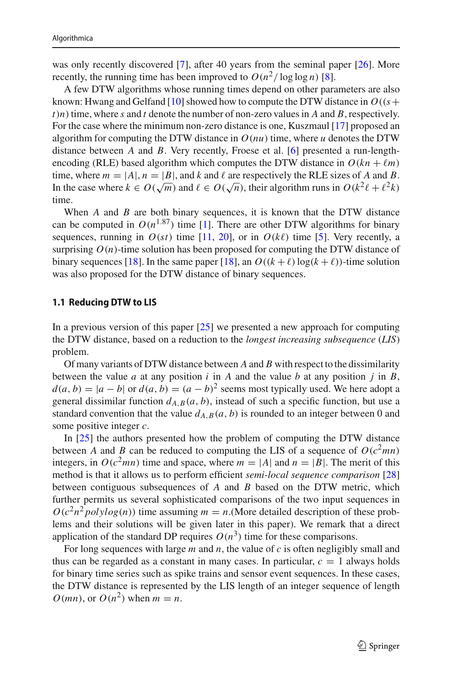was only recently discovered [\[7\]](#page-14-15), after 40 years from the seminal paper [\[26\]](#page-14-10). More recently, the running time has been improved to  $O(n^2/\log \log n)$  [\[8](#page-14-16)].

A few DTW algorithms whose running times depend on other parameters are also known: Hwang and Gelfand [\[10\]](#page-14-17) showed how to compute the DTW distance in  $O((s +$  $t$ )*n*) time, where *s* and *t* denote the number of non-zero values in *A* and *B*, respectively. For the case where the minimum non-zero distance is one, Kuszmaul [\[17](#page-14-14)] proposed an algorithm for computing the DTW distance in  $O(nu)$  time, where *u* denotes the DTW distance between *A* and *B*. Very recently, Froese et al. [\[6](#page-14-18)] presented a run-lengthencoding (RLE) based algorithm which computes the DTW distance in  $O(kn + \ell m)$ time, where  $m = |A|, n = |B|$ , and k and l are respectively the RLE sizes of A and B. In the case where  $k \in O(\sqrt{m})$  and  $\ell \in O(\sqrt{n})$ , their algorithm runs in  $O(k^2 \ell + \ell^2 k)$ time.

When *A* and *B* are both binary sequences, it is known that the DTW distance can be computed in  $O(n^{1.87})$  time [\[1\]](#page-14-12). There are other DTW algorithms for binary sequences, running in  $O(st)$  time [\[11,](#page-14-19) [20](#page-14-20)], or in  $O(k\ell)$  time [\[5](#page-14-21)]. Very recently, a surprising  $O(n)$ -time solution has been proposed for computing the DTW distance of binary sequences [\[18](#page-14-22)]. In the same paper [18], an  $O((k + \ell) \log(k + \ell))$ -time solution was also proposed for the DTW distance of binary sequences.

#### **1.1 Reducing DTW to LIS**

In a previous version of this paper  $[25]$  $[25]$  we presented a new approach for computing the DTW distance, based on a reduction to the *longest increasing subsequence* (*LIS*) problem.

Of many variants of DTW distance between *A* and *B* with respect to the dissimilarity between the value *a* at any position *i* in *A* and the value *b* at any position *j* in *B*,  $d(a, b) = |a - b|$  or  $d(a, b) = (a - b)^2$  seems most typically used. We here adopt a general dissimilar function  $d_{A,B}(a, b)$ , instead of such a specific function, but use a standard convention that the value  $d_{A,B}(a, b)$  is rounded to an integer between 0 and some positive integer *c*.

In [\[25](#page-14-23)] the authors presented how the problem of computing the DTW distance between *A* and *B* can be reduced to computing the LIS of a sequence of  $O(c^2mn)$ integers, in  $O(c^2mn)$  time and space, where  $m = |A|$  and  $n = |B|$ . The merit of this method is that it allows us to perform efficient *semi-local sequence comparison* [\[28\]](#page-14-24) between contiguous subsequences of *A* and *B* based on the DTW metric, which further permits us several sophisticated comparisons of the two input sequences in  $O(c^2n^2 polylog(n))$  time assuming  $m = n$ .(More detailed description of these problems and their solutions will be given later in this paper). We remark that a direct application of the standard DP requires  $O(n^3)$  time for these comparisons.

For long sequences with large *m* and *n*, the value of *c* is often negligibly small and thus can be regarded as a constant in many cases. In particular,  $c = 1$  always holds for binary time series such as spike trains and sensor event sequences. In these cases, the DTW distance is represented by the LIS length of an integer sequence of length  $O(mn)$ , or  $O(n^2)$  when  $m = n$ .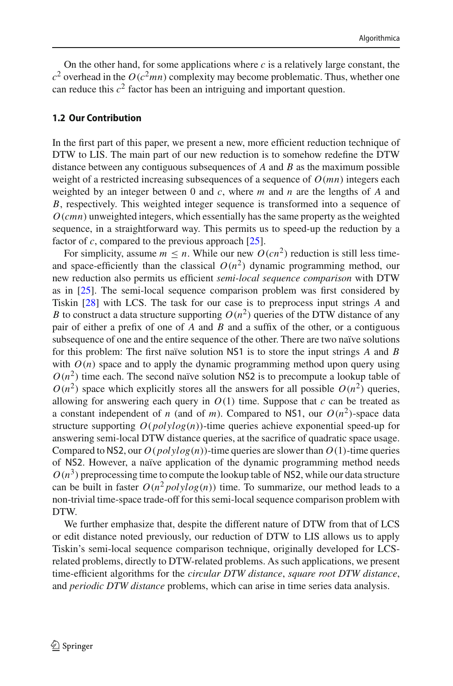On the other hand, for some applications where  $c$  is a relatively large constant, the  $c^2$  overhead in the  $O(c^2mn)$  complexity may become problematic. Thus, whether one can reduce this  $c^2$  factor has been an intriguing and important question.

#### **1.2 Our Contribution**

In the first part of this paper, we present a new, more efficient reduction technique of DTW to LIS. The main part of our new reduction is to somehow redefine the DTW distance between any contiguous subsequences of *A* and *B* as the maximum possible weight of a restricted increasing subsequences of a sequence of *O*(*mn*) integers each weighted by an integer between 0 and *c*, where *m* and *n* are the lengths of *A* and *B*, respectively. This weighted integer sequence is transformed into a sequence of *O*(*cmn*) unweighted integers, which essentially has the same property as the weighted sequence, in a straightforward way. This permits us to speed-up the reduction by a factor of *c*, compared to the previous approach [\[25](#page-14-23)].

For simplicity, assume  $m \le n$ . While our new  $O(cn^2)$  reduction is still less timeand space-efficiently than the classical  $O(n^2)$  dynamic programming method, our new reduction also permits us efficient *semi-local sequence comparison* with DTW as in [\[25](#page-14-23)]. The semi-local sequence comparison problem was first considered by Tiskin [\[28\]](#page-14-24) with LCS. The task for our case is to preprocess input strings *A* and *B* to construct a data structure supporting  $O(n^2)$  queries of the DTW distance of any pair of either a prefix of one of *A* and *B* and a suffix of the other, or a contiguous subsequence of one and the entire sequence of the other. There are two naïve solutions for this problem: The first naïve solution NS1 is to store the input strings *A* and *B* with  $O(n)$  space and to apply the dynamic programming method upon query using  $O(n^2)$  time each. The second naïve solution NS2 is to precompute a lookup table of  $O(n^2)$  space which explicitly stores all the answers for all possible  $O(n^2)$  queries, allowing for answering each query in  $O(1)$  time. Suppose that *c* can be treated as a constant independent of *n* (and of *m*). Compared to NS1, our  $O(n^2)$ -space data structure supporting *O*(*polylog*(*n*))-time queries achieve exponential speed-up for answering semi-local DTW distance queries, at the sacrifice of quadratic space usage. Compared to NS2, our  $O(polylog(n))$ -time queries are slower than  $O(1)$ -time queries of NS2. However, a naïve application of the dynamic programming method needs  $O(n^3)$  preprocessing time to compute the lookup table of NS2, while our data structure can be built in faster  $O(n^2 polylog(n))$  time. To summarize, our method leads to a non-trivial time-space trade-off for this semi-local sequence comparison problem with DTW.

We further emphasize that, despite the different nature of DTW from that of LCS or edit distance noted previously, our reduction of DTW to LIS allows us to apply Tiskin's semi-local sequence comparison technique, originally developed for LCSrelated problems, directly to DTW-related problems. As such applications, we present time-efficient algorithms for the *circular DTW distance*, *square root DTW distance*, and *periodic DTW distance* problems, which can arise in time series data analysis.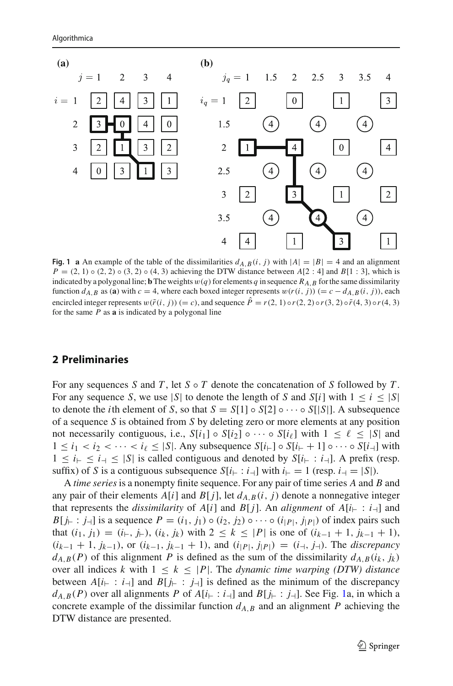

<span id="page-4-0"></span>**Fig. 1 a** An example of the table of the dissimilarities  $d_{A,B}(i, j)$  with  $|A| = |B| = 4$  and an alignment  $P = (2, 1) \circ (2, 2) \circ (3, 2) \circ (4, 3)$  achieving the DTW distance between  $A[2:4]$  and  $B[1:3]$ , which is indicated by a polygonal line; **b** The weights  $w(q)$  for elements *q* in sequence  $R_{A,B}$  for the same dissimilarity function  $d_{A,B}$  as (**a**) with  $c = 4$ , where each boxed integer represents  $w(r(i, j)) (= c - d_{A,B}(i, j))$ , each encircled integer represents  $w(\tilde{r}(i, j)) (= c)$ , and sequence  $\hat{P} = r(2, 1) \circ r(2, 2) \circ r(3, 2) \circ \tilde{r}(4, 3) \circ r(4, 3)$ for the same *P* as **a** is indicated by a polygonal line

# **2 Preliminaries**

For any sequences *S* and *T* , let *S* ◦ *T* denote the concatenation of *S* followed by *T* . For any sequence *S*, we use |*S*| to denote the length of *S* and *S*[*i*] with  $1 \le i \le |S|$ to denote the *i*th element of *S*, so that  $S = S[1] \circ S[2] \circ \cdots \circ S[|S|]$ . A subsequence of a sequence *S* is obtained from *S* by deleting zero or more elements at any position not necessarily contiguous, i.e.,  $S[i_1] \circ S[i_2] \circ \cdots \circ S[i_\ell]$  with  $1 \leq \ell \leq |S|$  and  $1 \leq i_1 < i_2 < \cdots < i_\ell \leq |S|$ . Any subsequence  $S[i_{\vdash}] \circ S[i_{\vdash} + 1] \circ \cdots \circ S[i_{\vdash}]$  with  $1 \leq i_{\text{+}} \leq i_{\text{+}} \leq |S|$  is called contiguous and denoted by  $S[i_{\text{+}} : i_{\text{+}}]$ . A prefix (resp. suffix) of *S* is a contiguous subsequence  $S[i_{\vdash} : i_{\dashv}]$  with  $i_{\vdash} = 1$  (resp.  $i_{\dashv} = |S|$ ).

A *time series* is a nonempty finite sequence. For any pair of time series *A* and *B* and any pair of their elements  $A[i]$  and  $B[j]$ , let  $d_{A,B}(i, j)$  denote a nonnegative integer that represents the *dissimilarity* of  $A[i]$  and  $B[j]$ . An *alignment* of  $A[i]$ :  $i \in [i]$  and *B*[ $j_{\vdash}$ :  $j_{\dashv}$ ] is a sequence  $P = (i_1, j_1) \circ (i_2, j_2) \circ \cdots \circ (i_{|P|}, j_{|P|})$  of index pairs such that  $(i_1, j_1) = (i_+, j_+), (i_k, j_k)$  with  $2 \le k \le |P|$  is one of  $(i_{k-1} + 1, j_{k-1} + 1)$ ,  $(i_{k-1} + 1, j_{k-1}),$  or  $(i_{k-1}, j_{k-1} + 1),$  and  $(i_{|P|}, j_{|P|}) = (i_{-1}, j_{-1}).$  The *discrepancy*  $d_{A,B}(P)$  of this alignment *P* is defined as the sum of the dissimilarity  $d_{A,B}(i_k, j_k)$ over all indices *k* with  $1 \leq k \leq |P|$ . The *dynamic time warping (DTW) distance* between  $A[i_{+} : i_{-}]$  and  $B[j_{+} : j_{-}]$  is defined as the minimum of the discrepancy  $d_{A,B}(P)$  over all alignments *P* of  $A[i] \in [i]$  and  $B[j] \in [j]$ . See Fig. [1a](#page-4-0), in which a concrete example of the dissimilar function  $d_{A,B}$  and an alignment *P* achieving the DTW distance are presented.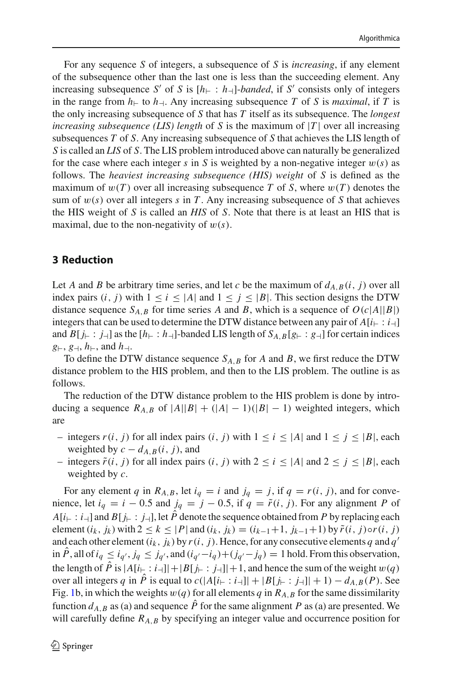For any sequence *S* of integers, a subsequence of *S* is *increasing*, if any element of the subsequence other than the last one is less than the succeeding element. Any increasing subsequence *S'* of *S* is  $[h_{\vdash}: h_{\dashv}]$ -*banded*, if *S'* consists only of integers in the range from  $h_{\vdash}$  to  $h_{\dashv}$ . Any increasing subsequence *T* of *S* is *maximal*, if *T* is the only increasing subsequence of *S* that has *T* itself as its subsequence. The *longest increasing subsequence (LIS) length* of *S* is the maximum of |*T* | over all increasing subsequences *T* of *S*. Any increasing subsequence of *S* that achieves the LIS length of *S* is called an *LIS* of *S*. The LIS problem introduced above can naturally be generalized for the case where each integer *s* in *S* is weighted by a non-negative integer  $w(s)$  as follows. The *heaviest increasing subsequence (HIS) weight* of *S* is defined as the maximum of  $w(T)$  over all increasing subsequence T of S, where  $w(T)$  denotes the sum of  $w(s)$  over all integers *s* in *T*. Any increasing subsequence of *S* that achieves the HIS weight of *S* is called an *HIS* of *S*. Note that there is at least an HIS that is maximal, due to the non-negativity of  $w(s)$ .

#### <span id="page-5-0"></span>**3 Reduction**

Let *A* and *B* be arbitrary time series, and let *c* be the maximum of  $d_{A,B}(i, j)$  over all index pairs  $(i, j)$  with  $1 \le i \le |A|$  and  $1 \le j \le |B|$ . This section designs the DTW distance sequence  $S_{A,B}$  for time series *A* and *B*, which is a sequence of  $O(c|A||B|)$ integers that can be used to determine the DTW distance between any pair of  $A[i_{\vdash} : i_{\dashv}]$ and  $B[j_{\vdash} : j_{\dashv}]$  as the  $[h_{\vdash} : h_{\dashv}]$ -banded LIS length of  $S_{A,B}[g_{\vdash} : g_{\dashv}]$  for certain indices  $g_{\vdash}, g_{\dashv}, h_{\vdash},$  and  $h_{\dashv}.$ 

To define the DTW distance sequence *SA*,*<sup>B</sup>* for *A* and *B*, we first reduce the DTW distance problem to the HIS problem, and then to the LIS problem. The outline is as follows.

The reduction of the DTW distance problem to the HIS problem is done by introducing a sequence  $R_{A,B}$  of  $|A||B| + (|A| - 1)(|B| - 1)$  weighted integers, which are

- − integers  $r(i, j)$  for all index pairs  $(i, j)$  with  $1 \le i \le |A|$  and  $1 \le j \le |B|$ , each weighted by  $c - d_{A,B}(i, j)$ , and
- integers  $\tilde{r}(i, j)$  for all index pairs  $(i, j)$  with  $2 \le i \le |A|$  and  $2 \le j \le |B|$ , each weighted by *c*.

For any element *q* in  $R_{A,B}$ , let  $i_q = i$  and  $j_q = j$ , if  $q = r(i, j)$ , and for convenience, let  $i_q = i - 0.5$  and  $j_q = j - 0.5$ , if  $q = \tilde{r}(i, j)$ . For any alignment *P* of  $A[i_{\vdash}: i_{\dashv}]$  and  $B[j_{\vdash}: j_{\dashv}]$ , let  $\hat{P}$  denote the sequence obtained from P by replacing each element  $(i_k, j_k)$  with  $2 \le k \le |P|$  and  $(i_k, j_k) = (i_{k-1}+1, j_{k-1}+1)$  by  $\tilde{r}(i, j) \circ r(i, j)$ and each other element  $(i_k, j_k)$  by  $r(i, j)$ . Hence, for any consecutive elements *q* and *q'* in  $\hat{P}$ , all of  $i_q \le i_{q'}$ ,  $j_q \le j_{q'}$ , and  $(i_{q'}-i_q)+(j_{q'}-j_q) = 1$  hold. From this observation, the length of  $\hat{P}$  is  $|A[i_{+} : i_{-1}]| + |B[j_{+} : j_{-}]| + 1$ , and hence the sum of the weight  $w(q)$ over all integers *q* in  $\hat{P}$  is equal to  $c(|A[i_{+}:i_{-}]] + |B[j_{+}:j_{-}]] + 1 - d_{A,B}(P)$ . See Fig. [1b](#page-4-0), in which the weights  $w(q)$  for all elements *q* in  $R_{A,B}$  for the same dissimilarity function  $d_{A,B}$  as (a) and sequence  $\hat{P}$  for the same alignment *P* as (a) are presented. We will carefully define  $R_{A,B}$  by specifying an integer value and occurrence position for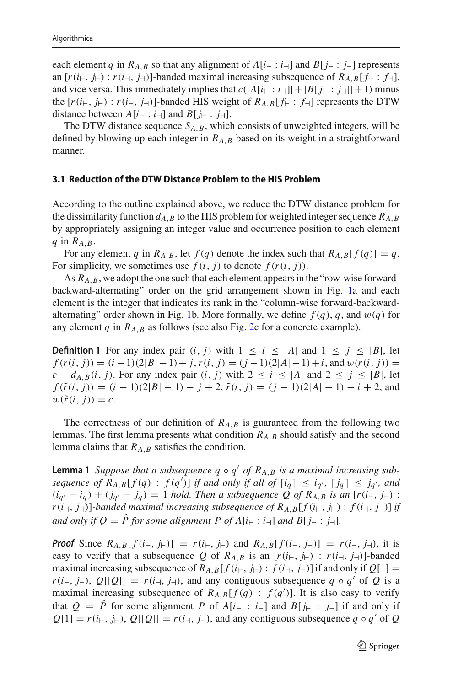each element *q* in  $R_{A,B}$  so that any alignment of  $A[i_{\vdash}:i_{\dashv}]$  and  $B[i_{\vdash}:j_{\dashv}]$  represents an  $[r(i_{\vdash}, j_{\vdash}) : r(i_{\dashv}, j_{\dashv})]$ -banded maximal increasing subsequence of  $R_{A,B}[f_{\vdash}: f_{\dashv}],$ and vice versa. This immediately implies that  $c(|A[i_{\text{r}} : i_{\text{r}}]| + |B[i_{\text{r}} : j_{\text{r}}]| + 1)$  minus the  $[r(i_{\vdash}, j_{\vdash}) : r(i_{\dashv}, j_{\dashv})]$ -banded HIS weight of  $R_{A,B}[f_{\vdash}: f_{\dashv}]$  represents the DTW distance between  $A[i] \colon i \to []$  and  $B[j] \colon j \to []$ .

The DTW distance sequence  $S_{A,B}$ , which consists of unweighted integers, will be defined by blowing up each integer in *RA*,*<sup>B</sup>* based on its weight in a straightforward manner.

#### **3.1 Reduction of the DTW Distance Problem to the HIS Problem**

According to the outline explained above, we reduce the DTW distance problem for the dissimilarity function  $d_{A,B}$  to the HIS problem for weighted integer sequence  $R_{A,B}$ by appropriately assigning an integer value and occurrence position to each element *q* in *RA*,*B*.

For any element *q* in  $R_{A,B}$ , let  $f(q)$  denote the index such that  $R_{A,B}[f(q)] = q$ . For simplicity, we sometimes use  $f(i, j)$  to denote  $f(r(i, j))$ .

As  $R_{A,B}$ , we adopt the one such that each element appears in the "row-wise forwardbackward-alternating" order on the grid arrangement shown in Fig. [1a](#page-4-0) and each element is the integer that indicates its rank in the "column-wise forward-backward-alternating" order shown in Fig. [1b](#page-4-0). More formally, we define  $f(q)$ ,  $q$ , and  $w(q)$  for any element  $q$  in  $R_{A,B}$  as follows (see also Fig. [2c](#page-7-0) for a concrete example).

<span id="page-6-0"></span>**Definition 1** For any index pair  $(i, j)$  with  $1 \le i \le |A|$  and  $1 \le j \le |B|$ , let  $f(r(i, j)) = (i - 1)(2|B| - 1) + j,$   $r(i, j) = (j - 1)(2|A| - 1) + i$ , and  $w(r(i, j)) =$ *c* − *d*<sub>*A*,*B*</sub>(*i*, *j*). For any index pair (*i*, *j*) with 2 ≤ *i* ≤ |*A*| and 2 ≤ *j* ≤ |*B*|, let  $f(\tilde{r}(i, j)) = (i - 1)(2|B| - 1) - j + 2$ ,  $\tilde{r}(i, j) = (j - 1)(2|A| - 1) - i + 2$ , and  $w(\tilde{r}(i, j)) = c.$ 

The correctness of our definition of  $R_{A,B}$  is guaranteed from the following two lemmas. The first lemma presents what condition *RA*,*<sup>B</sup>* should satisfy and the second lemma claims that *RA*,*<sup>B</sup>* satisfies the condition.

<span id="page-6-1"></span>**Lemma 1** *Suppose that a subsequence*  $q \circ q'$  *of*  $R_{A,B}$  *is a maximal increasing subsequence of*  $R_{A,B}[f(q) : f(q')]$  *if and only if all of*  $\lceil i_q \rceil \leq i_{q'}$ ,  $\lceil j_q \rceil \leq j_{q'}$ , and  $(i_{q'} - i_q) + (j_{q'} - j_q) = 1$  *hold. Then a subsequence* Q of  $R_{A,B}$  *is an* [ $r(i_{\vdash}, j_{\vdash})$  :  $r(i_{\uparrow}, j_{\uparrow})$ ]-banded maximal increasing subsequence of  $R_{A,B}[f(i_{\uparrow}, j_{\uparrow}) : f(i_{\uparrow}, j_{\uparrow})]$  if *and only if*  $Q = \hat{P}$  *for some alignment*  $P$  *of*  $A[i_{\vdash} : i_{\dashv}]$  *and*  $B[j_{\vdash} : j_{\dashv}]$ *.* 

*Proof* Since  $R_{A,B}[f(i_{+}, j_{+})] = r(i_{+}, j_{+})$  and  $R_{A,B}[f(i_{+}, j_{+})] = r(i_{+}, j_{+})$ , it is easy to verify that a subsequence *Q* of  $R_{A,B}$  is an  $[r(i_{\vdash}, j_{\vdash}) : r(i_{\dashv}, j_{\dashv})]$ -banded maximal increasing subsequence of  $R_{A,B}[f(i_{\vdash}, j_{\vdash}) : f(i_{\dashv}, j_{\dashv})]$  if and only if  $Q[1] =$  $r(i_{\vdash}, j_{\vdash}), Q[|Q|] = r(i_{\dashv}, j_{\dashv}),$  and any contiguous subsequence  $q \circ q'$  of  $Q$  is a maximal increasing subsequence of  $R_{A,B}[f(q) : f(q')]$ . It is also easy to verify that  $Q = P$  for some alignment P of  $A[i_{\vdash} : i_{\dashv}]$  and  $B[j_{\vdash} : j_{\dashv}]$  if and only if  $Q[1] = r(i_F, j_F), Q[|Q|] = r(i_{\exists}, j_{\exists})$ , and any contiguous subsequence  $q \circ q'$  of  $Q$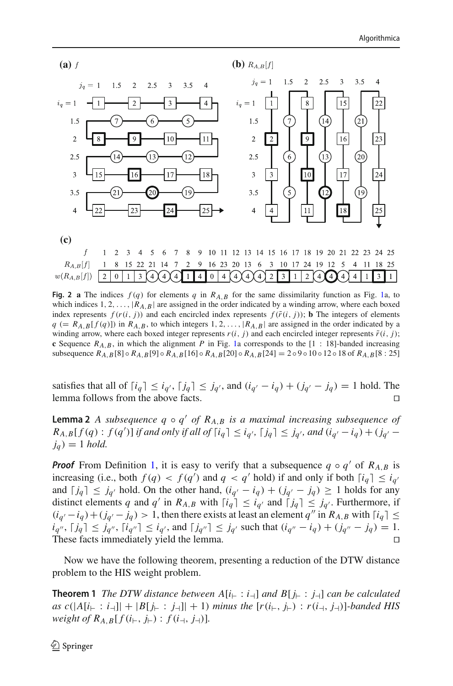

<span id="page-7-0"></span>**Fig. 2 a** The indices  $f(q)$  for elements q in  $R_{A,B}$  for the same dissimilarity function as Fig. [1a](#page-4-0), to which indices  $1, 2, \ldots, |R_{A,B}|$  are assigned in the order indicated by a winding arrow, where each boxed index represents  $f(r(i, j))$  and each encircled index represents  $f(\tilde{r}(i, j))$ ; **b** The integers of elements  $q$  (=  $R_{A,B}[f(q)]$ ) in  $R_{A,B}$ , to which integers 1, 2, ...,  $|R_{A,B}|$  are assigned in the order indicated by a winding arrow, where each boxed integer represents  $r(i, j)$  and each encircled integer represents  $\tilde{r}(i, j)$ ; **c** Sequence  $R_{A,B}$ , in which the alignment *P* in Fig. [1a](#page-4-0) corresponds to the  $[1 : 18]$ -banded increasing subsequence  $R_{A,B}[8] \circ R_{A,B}[9] \circ R_{A,B}[16] \circ R_{A,B}[20] \circ R_{A,B}[24] = 2 \circ 9 \circ 10 \circ 12 \circ 18 \text{ of } R_{A,B}[8:25]$ 

satisfies that all of  $[i_q] \leq i_{q'}$ ,  $[j_q] \leq j_{q'}$ , and  $(i_{q'} - i_q) + (j_{q'} - j_q) = 1$  hold. The lemma follows from the above facts. 

<span id="page-7-1"></span>**Lemma 2** *A subsequence q*  $\circ$  *q' of R<sub>A,B</sub> is a maximal increasing subsequence of R*<sub>*A*</sub>,*B*[*f*(*q*) : *f*(*q*<sup>'</sup>)] *if and only if all of*  $\lceil i_q \rceil \leq i_{q'}$ ,  $\lceil j_q \rceil \leq j_{q'}$ , and  $(i_{q'} - i_q) + (j_{q'} - j_q)$  $j_q$  $) = 1$  *hold.* 

*Proof* From Definition [1,](#page-6-0) it is easy to verify that a subsequence  $q \circ q'$  of  $R_{A,B}$  is increasing (i.e., both  $f(q) < f(q')$  and  $q < q'$  hold) if and only if both  $[i_q] \leq i_{q'}$ and  $\lceil j_q \rceil \leq j_{q'}$  hold. On the other hand,  $(i_{q'} - i_q) + (j_{q'} - j_q) \geq 1$  holds for any distinct elements *q* and *q'* in  $R_{A,B}$  with  $\lceil i_q \rceil \leq i_{q'}$  and  $\lceil j_q \rceil \leq j_{q'}$ . Furthermore, if  $(i_{q'} - i_q) + (j_{q'} - j_q) > 1$ , then there exists at least an element *q*<sup>"</sup> in *R<sub>A</sub>*, *B* with  $\lceil i_q \rceil \le$  $i_{q''}, \lceil j_q \rceil \leq j_{q''}, \lceil i_{q''} \rceil \leq i_{q'},$  and  $\lceil j_{q''} \rceil \leq j_{q'}$  such that  $(i_{q''} - i_q) + (j_{q''} - j_q) = 1.$ These facts immediately yield the lemma. 

<span id="page-7-2"></span>Now we have the following theorem, presenting a reduction of the DTW distance problem to the HIS weight problem.

**Theorem 1** *The DTW distance between*  $A[i] \colon i \to j$  *and*  $B[j] \colon j \to j$  *can be calculated as*  $c(|A[i] \cdot i - j| + |B[j] \cdot j - j| + 1)$  *minus the*  $[r(i] \cdot j - j] \cdot r(i - j)$  *- banded HIS weight of*  $R_{A,B}[f(i_{\vdash}, j_{\vdash}): f(i_{\dashv}, j_{\dashv})]$ .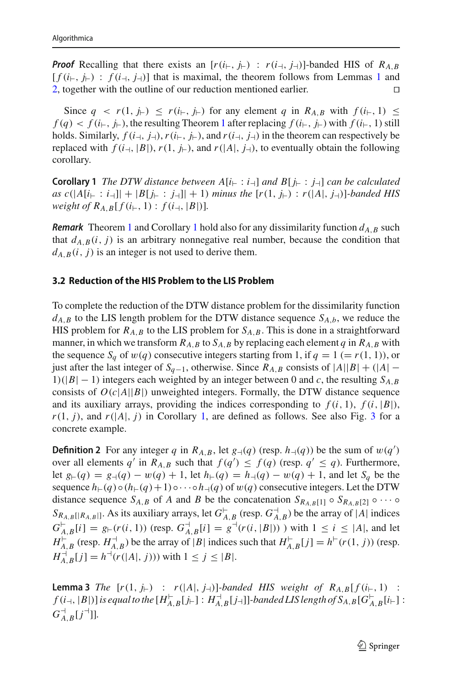*Proof* Recalling that there exists an  $[r(i_{+}, j_{+}) : r(i_{+}, j_{+})]$ -banded HIS of  $R_{A,B}$  $[f(i_{\vdash}, j_{\vdash}) : f(i_{\dashv}, j_{\dashv})]$  that is maximal, the theorem follows from Lemmas [1](#page-6-1) and 2 together with the outline of our reduction mentioned earlier [2,](#page-7-1) together with the outline of our reduction mentioned earlier. 

Since  $q \lt r(1, j_{\vdash}) \leq r(i_{\vdash}, j_{\vdash})$  for any element q in  $R_{A,B}$  with  $f(i_{\vdash}, 1) \leq$  $f(q) < f(i_{\vdash}, j_{\vdash})$ , the resulting Theorem [1](#page-7-2) after replacing  $f(i_{\vdash}, j_{\vdash})$  with  $f(i_{\vdash}, 1)$  still holds. Similarly,  $f(i_{\perp}, j_{\perp})$ ,  $r(i_{\perp}, j_{\perp})$ , and  $r(i_{\perp}, j_{\perp})$  in the theorem can respectively be replaced with  $f(i_{\perp}, |B|)$ ,  $r(1, j_{\vdash})$ , and  $r(|A|, j_{\uparrow})$ , to eventually obtain the following corollary.

<span id="page-8-0"></span>**Corollary 1** *The DTW distance between*  $A[i] \div : i \rightarrow ]$  *and*  $B[i] \div : j \rightarrow ]$  *can be calculated as*  $c(|A[i]_+ : i_{-1}|| + |B[i]_+ : j_{-1}|| + 1)$  *minus the*  $[r(1, i_{-}) : r(|A|, i_{-1})]$ *-banded HIS weight of*  $R_{A,B}[f(i_{\vdash}, 1) : f(i_{\dashv}, |B|)]$ *.* 

*Remark* Theorem [1](#page-8-0) and Corollary 1 hold also for any dissimilarity function  $d_{A,B}$  such that  $d_{A,B}(i, j)$  is an arbitrary nonnegative real number, because the condition that  $d_{A,B}(i, j)$  is an integer is not used to derive them.

#### **3.2 Reduction of the HIS Problem to the LIS Problem**

To complete the reduction of the DTW distance problem for the dissimilarity function  $d_{A,B}$  to the LIS length problem for the DTW distance sequence  $S_{A,b}$ , we reduce the HIS problem for  $R_{A,B}$  to the LIS problem for  $S_{A,B}$ . This is done in a straightforward manner, in which we transform  $R_{A,B}$  to  $S_{A,B}$  by replacing each element *q* in  $R_{A,B}$  with the sequence  $S_a$  of  $w(q)$  consecutive integers starting from 1, if  $q = 1 (= r(1, 1))$ , or just after the last integer of  $S_{q-1}$ , otherwise. Since  $R_{A,B}$  consists of  $|A||B| + (|A| −$  $1)(|B| - 1)$  integers each weighted by an integer between 0 and *c*, the resulting  $S_{A,B}$ consists of  $O(c|A||B|)$  unweighted integers. Formally, the DTW distance sequence and its auxiliary arrays, providing the indices corresponding to  $f(i, 1), f(i, |B|)$ ,  $r(1, j)$  $r(1, j)$  $r(1, j)$ , and  $r(|A|, j)$  in Corollary 1, are defined as follows. See also Fig. [3](#page-9-0) for a concrete example.

<span id="page-8-1"></span>**Definition 2** For any integer *q* in *R<sub>A,B</sub>*, let  $g_{\rightarrow}(q)$  (resp.  $h_{\rightarrow}(q)$ ) be the sum of  $w(q')$ over all elements *q'* in  $R_{A,B}$  such that  $f(q') \leq f(q)$  (resp.  $q' \leq q$ ). Furthermore, let  $g_{\vdash}(q) = g_{\dashv}(q) - w(q) + 1$ , let  $h_{\vdash}(q) = h_{\dashv}(q) - w(q) + 1$ , and let  $S_q$  be the sequence  $h_{\vdash}(q) \circ (h_{\vdash}(q) + 1) \circ \cdots \circ h_{\vdash}(q)$  of  $w(q)$  consecutive integers. Let the DTW distance sequence  $S_{A,B}$  of *A* and *B* be the concatenation  $S_{R_{A,B}[1]} \circ S_{R_{A,B}[2]} \circ \cdots \circ S_{R_{A,B}[2]}$  $S_{R_{A,B}[[R_{A,B}]]}$ . As its auxiliary arrays, let  $G_{A,B}^{-}$  (resp.  $G_{A,B}^{-}$ ) be the array of |*A*| indices  $G_{A,B}^{E}[i] = g_{E}(r(i,1))$  (resp.  $G_{A,B}^{A}[i] = g^{\dagger}(r(i,|B|))$ ) with  $1 \leq i \leq |A|$ , and let  $H_{A,B}^{\vdash}$  (resp.  $H_{A,B}^{\dashv}$ ) be the array of |*B*| indices such that  $H_{A,B}^{\vdash}[j] = h^{\vdash}(r(1,j))$  (resp.  $H_{A,B}^{-1}[j] = h^{-1}(r(|A|, j)))$  with  $1 \le j \le |B|$ .

<span id="page-8-2"></span>**Lemma 3** *The*  $[r(1, j_{\vdash}) : r(|A|, j_{\dashv})]$ *-banded HIS weight of R<sub>A,B</sub>[f(i<sub>lti</sub>, 1) :*  $f$  ( $i$ <sub>-1</sub>,  $|B|$ )] is equal to the  $[H_{A,B}^{\vdash}[j_{\vdash}]:H_{A,B}^{\dashv}[j_{\dashv}]]$  -banded LIS length of  $S_{A,B}[G_{A,B}^{\vdash}[i_{\vdash}]:B_{A,B}^{\vdash}[i_{\vdash}]]$  $G^{\dashv}_{A,B}[j^{\dashv}]]$ .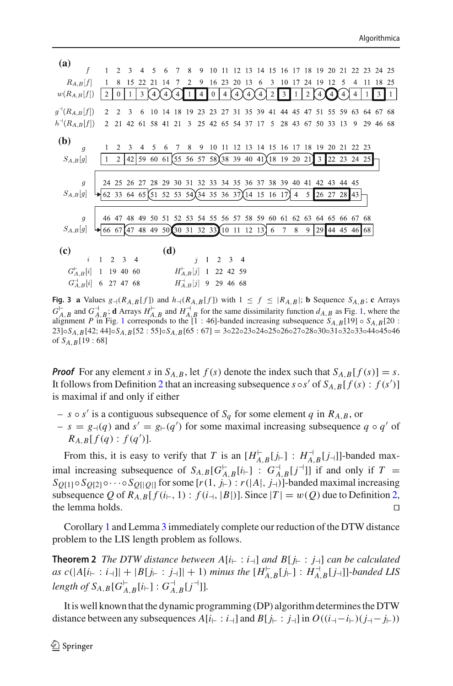| (a)                          |                                               |                     |   |             |                                                                                                                       | $\sim$ |       |                        | $\mathbf{8}$   |                                                |          |    |            |    |   | 9 10 11 12 13 14 15 16 17 18 19 20 21 22 23 24 25 |                |                |    |                |        |                |            |    |     |
|------------------------------|-----------------------------------------------|---------------------|---|-------------|-----------------------------------------------------------------------------------------------------------------------|--------|-------|------------------------|----------------|------------------------------------------------|----------|----|------------|----|---|---------------------------------------------------|----------------|----------------|----|----------------|--------|----------------|------------|----|-----|
| $R_{A,B}[f]$                 |                                               |                     | 8 | 15          | 22                                                                                                                    | 21     | 14    | 7                      | $\overline{2}$ | 9                                              |          |    | 16 23 20   | 13 | 6 | $3 \t10$                                          | -17            | 24             | 19 | 12             | $\sim$ | $\overline{4}$ |            | 18 | 25  |
| $w(R_{A,B}[f])$              |                                               | $\overline{2}$      |   |             | 3                                                                                                                     |        |       |                        |                |                                                | $\theta$ |    |            |    |   | 3                                                 |                | $\overline{c}$ |    |                |        |                |            | 3  |     |
| $g^{\dashv}(R_{A,B}[f])$     |                                               | $\mathcal{D}$       |   |             |                                                                                                                       | 10     | 14 18 |                        | -19            | 23                                             | 23       | 27 |            |    |   | 31 35 39 41 44 45 47 51 55 59 63 64 67            |                |                |    |                |        |                |            |    | -68 |
| $h^{\dashv}(R_{A,B}[f])$     |                                               |                     |   |             | 2 21 42 61 58 41 21                                                                                                   |        |       |                        |                | 3 25 42 65 54 37 17 5 28 43 67 50 33 13        |          |    |            |    |   |                                                   |                |                |    |                |        |                | 9 29 46 68 |    |     |
| ( <b>b</b> )<br>$S_{A,B}[g]$ | q                                             |                     | 2 | $2^{\circ}$ | $3 \quad 4$<br>$42\begin{bmatrix}59 & 60 & 61\end{bmatrix}$ 55 56 57 58 38 39 40 41 18 19 20 21                       | .5.    | 6     | 7                      | 8              | 9                                              |          |    |            |    |   | 10 11 12 13 14 15 16 17 18 19 20 21 22 23         |                |                |    | 3 22 23 24 25  |        |                |            |    |     |
| $S_{A,B}[g]$                 | $\overline{g}$                                |                     |   |             | 24 25 26 27 28 29<br>62 33 64 65 (51 52 53 54) (34 35 36 37) (14 15 16 17)                                            |        |       | 30 31                  |                |                                                |          |    |            |    |   | 32 33 34 35 36 37 38 39 40 41 42 43 44 45         | $\overline{4}$ | 5              |    | 26 27 28       |        | 43             |            |    |     |
| $S_{A,B}[g]$                 | $\overline{g}$                                |                     |   |             | 46 47 48 49 50 51 52 53 54 55 56 57 58 59 60 61 62 63 64 65 66 67 68<br>66 67 47 48 49 50 30 31 32 33 10 11 12 13 6 7 |        |       |                        |                |                                                |          |    |            |    |   |                                                   | 8              | 9 <sup>°</sup> |    | 29 44 45 46 68 |        |                |            |    |     |
| (c)                          | $\hat{i}$<br>$G_{A,B}^{\vdash}[i]$ 1 19 40 60 | $1 \quad 2 \quad 3$ |   |             | $\overline{4}$                                                                                                        |        | (d)   |                        |                | $i \t1 \t2 \t3 \t4$<br>$H_{A,B}^{\vdash}[j]$ 1 |          |    | 22 42 59   |    |   |                                                   |                |                |    |                |        |                |            |    |     |
|                              | $G_{A,B}^+[i]$ 6 27 47 68                     |                     |   |             |                                                                                                                       |        |       | $H_{A,B}^{\dagger}[j]$ |                |                                                |          |    | 9 29 46 68 |    |   |                                                   |                |                |    |                |        |                |            |    |     |

<span id="page-9-0"></span>**Fig. 3 a** Values  $g_{\rightarrow}(R_{A,B}[f])$  and  $h_{\rightarrow}(R_{A,B}[f])$  with  $1 \leq f \leq |R_{A,B}|$ ; **b** Sequence  $S_{A,B}$ ; **c** Arrays  $G_{A,B}^{\vdash}$  and  $G_{A,B}^{\vdash}$  **d** Arrays  $H_{A,B}^{\vdash}$  and  $H_{A,B}^{\vdash}$  for the same dissimilarity function  $d_{A,B}$  as Fig. [1,](#page-4-0) where the alignment *P* in Fig. [1](#page-4-0) corresponds to the [1 : 46]-banded increasing subsequence  $S_{A,B}$ [19] ◦  $S_{A,B}$ [20 : 23]◦*SA*,*B*[42; 44]◦*SA*,*B*[52 : 55]◦*SA*,*B*[65 : 67] = 3◦22◦23◦24◦25◦26◦27◦28◦30◦31◦32◦33◦44◦45◦46 of *SA*,*B*[19 : 68]

*Proof* For any element *s* in  $S_{A,B}$ , let  $f(s)$  denote the index such that  $S_{A,B}[f(s)] = s$ . It follows from Definition [2](#page-8-1) that an increasing subsequence  $s \circ s'$  of  $S_{A,B}[f(s) : f(s')]$ is maximal if and only if either

- $s \circ s'$  is a contiguous subsequence of  $S_q$  for some element q in  $R_{A,B}$ , or
- $s = g_{\theta}(q)$  and  $s' = g_{\theta}(q')$  for some maximal increasing subsequence  $q \circ q'$  of  $R_{A,B}[f(q):f(q')]$ .

From this, it is easy to verify that *T* is an  $[H_{A,B}^{\vdash}[j_{\vdash}]]$ :  $H_{A,B}^{\vdash}[j_{\vdash}]]$ -banded maximal increasing subsequence of  $S_{A,B}[G_{A,B}^{\vdash}[i_{\vdash}]]$  :  $G_{A,B}^{\vdash}[j^{\vdash}]]$  if and only if  $T =$  $S_{O[1]} \circ S_{O[2]} \circ \cdots \circ S_{O[1]}$  for some  $[r(1, j_{\vdash}) : r(|A|, j_{\vdash})]$ -banded maximal increasing subsequence *Q* of  $R_{A,B}[f(i_{\vdash}, 1) : f(i_{\dashv}, |B|)]$ . Since  $|T| = w(Q)$  due to Definition [2,](#page-8-1) the lemma holds. the lemma holds. 

<span id="page-9-1"></span>Corollary [1](#page-8-0) and Lemma [3](#page-8-2) immediately complete our reduction of the DTW distance problem to the LIS length problem as follows.

**Theorem 2** *The DTW distance between*  $A[i] \div : i \rightarrow ]$  *and*  $B[i] \div : j \rightarrow ]$  *can be calculated as*  $c(|A[i| : i-1]| + |B[j| : j-1]| + 1)$  *minus the*  $[H_{A,B}^{-}[j] : H_{A,B}^{-}[j-]]$ *-banded LIS*  $length \ of \ S_{A,B}[G^{\vdash}_{A,B}[i_{\vdash}]:G^{\dashv}_{A,B}[j^{\dashv}]].$ 

It is well known that the dynamic programming (DP) algorithm determines the DTW distance between any subsequences  $A[i_{\vdash}:i_{\vdash}]\text{ and }B[j_{\vdash}:j_{\vdash}]\text{ in } O((i_{\vdash} - i_{\vdash})(j_{\vdash} - j_{\vdash}))$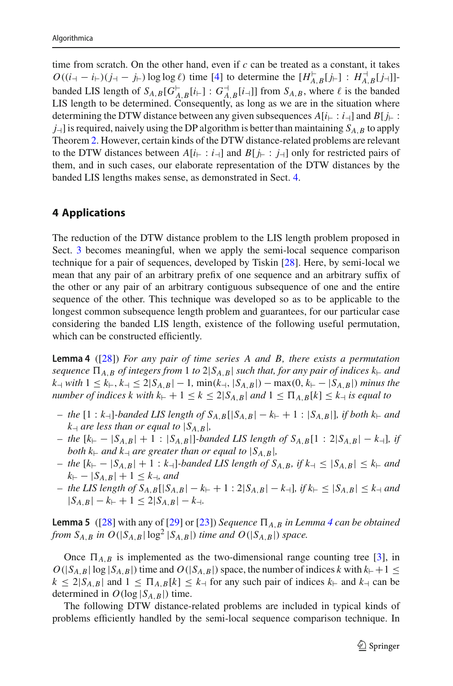time from scratch. On the other hand, even if *c* can be treated as a constant, it takes *O*(( $i$ <sub>→</sub> −  $i$ <sub>⊢</sub>)( $j$ <sub>→</sub> −  $j$ <sub>⊢</sub>)log log  $\ell$ ) time [\[4](#page-14-25)] to determine the [ $H_{A,B}^{\vdash}[j_{+}]$ ]:  $H_{A,B}^{\vdash}[j_{+}]$ ]banded LIS length of  $S_{A,B}[G_{A,B}^{-}[i+]:G_{A,B}^{-}[i+]]$  from  $S_{A,B}$ , where  $\ell$  is the banded LIS length to be determined. Consequently, as long as we are in the situation where determining the DTW distance between any given subsequences  $A[i] \colon i \to B[j]$ .  $j<sub>+</sub>$ ] is required, naively using the DP algorithm is better than maintaining  $S_{A,B}$  to apply Theorem [2.](#page-9-1) However, certain kinds of the DTW distance-related problems are relevant to the DTW distances between  $A[i_{\vdash}:i_{\dashv}]$  and  $B[i_{\vdash}:i_{\dashv}]$  only for restricted pairs of them, and in such cases, our elaborate representation of the DTW distances by the banded LIS lengths makes sense, as demonstrated in Sect. [4.](#page-10-0)

# <span id="page-10-0"></span>**4 Applications**

The reduction of the DTW distance problem to the LIS length problem proposed in Sect. [3](#page-5-0) becomes meaningful, when we apply the semi-local sequence comparison technique for a pair of sequences, developed by Tiskin [\[28](#page-14-24)]. Here, by semi-local we mean that any pair of an arbitrary prefix of one sequence and an arbitrary suffix of the other or any pair of an arbitrary contiguous subsequence of one and the entire sequence of the other. This technique was developed so as to be applicable to the longest common subsequence length problem and guarantees, for our particular case considering the banded LIS length, existence of the following useful permutation, which can be constructed efficiently.

<span id="page-10-1"></span>**Lemma 4** ([\[28\]](#page-14-24)) *For any pair of time series A and B, there exists a permutation sequence*  $\Pi_{A,B}$  *of integers from* 1 *to* 2| $S_{A,B}$ | *such that, for any pair of indices*  $k_{\vdash}$  *and k* $\le$  *k* $\le$  *k* $\le$  *k* $\le$  *k* $\le$  2|*S<sub>A,<i>B*</sub>| − 1*,* min(*k* $\le$  *k*<sub>1</sub>, |*S*<sub>*A,B*</sub>|)  $\le$  minus the *number of indices k with*  $k_{\vdash} + 1 \leq k \leq 2|S_{A,B}|$  *and*  $1 \leq \prod_{A,B} [k] \leq k_{\vdash}$  *is equal to* 

- *−* the  $[1 : k_+]$ -banded LIS length of  $S_{A,B}[[S_{A,B} k_+ + 1 : |S_{A,B}||]$ , if both  $k_+$  and  $k \rightarrow$  *are less than or equal to*  $|S_{A,B}|$ ,
- *−* the  $[k_{\text{+}} |S_{A,B}| + 1$  :  $|S_{A,B}|$ *-banded LIS length of*  $S_{A,B}$ [1 : 2| $|S_{A,B}| k$ <sup>-1</sup>]*, if both*  $k_{\vdash}$  *and*  $k_{\vdash}$  *are greater than or equal to*  $|S_{A,B}|$ *,*
- *− the*  $[k_{\vdash} |S_{A,B}| + 1 : k_{\vdash}]\text{-}banded \text{ } LIS \text{ } length \text{ } of \text{ } S_{A,B}, \text{ } if \text{ } k_{\vdash} \leq |S_{A,B}| \leq k_{\vdash} \text{ } and$  $k_{\vdash} - |S_{A,B}| + 1 \leq k_{\dashv}$ , and
- *the LIS length of S<sub>A,B</sub>*[| $S_{A,B}$ [| $S_{A,B}$ | −  $k$ <sub>⊢</sub> + 1 : 2| $S_{A,B}$ | −  $k$ <sub>−</sub>]*, if*  $k$ <sub>⊢</sub>  $\leq$  | $S_{A,B}$ |  $\leq$   $k$ <sub>−1</sub> *and*  $|S_{A,B}| - k_+ + 1 \leq 2|S_{A,B}| - k_+$ .

**Lemma 5** ([\[28\]](#page-14-24) with any of [\[29](#page-14-26)] or [\[23](#page-14-27)]) *Sequence*  $\Pi_{A,B}$  *in Lemma [4](#page-10-1) can be obtained from*  $S_{A,B}$  *in*  $O(|S_{A,B}| \log^2 |S_{A,B}|)$  *time and*  $O(|S_{A,B}|)$  *space.* 

Once  $\Pi_{A,B}$  is implemented as the two-dimensional range counting tree [\[3\]](#page-14-28), in  $O(|S_{A,B}| \log |S_{A,B}|)$  time and  $O(|S_{A,B}|)$  space, the number of indices *k* with  $k_{+}+1 \leq$  $k \leq 2|S_{A,B}|$  and  $1 \leq \prod_{A,B} [k] \leq k_{+}$  for any such pair of indices  $k_{+}$  and  $k_{+}$  can be determined in  $O(\log |S_{A,B}|)$  time.

The following DTW distance-related problems are included in typical kinds of problems efficiently handled by the semi-local sequence comparison technique. In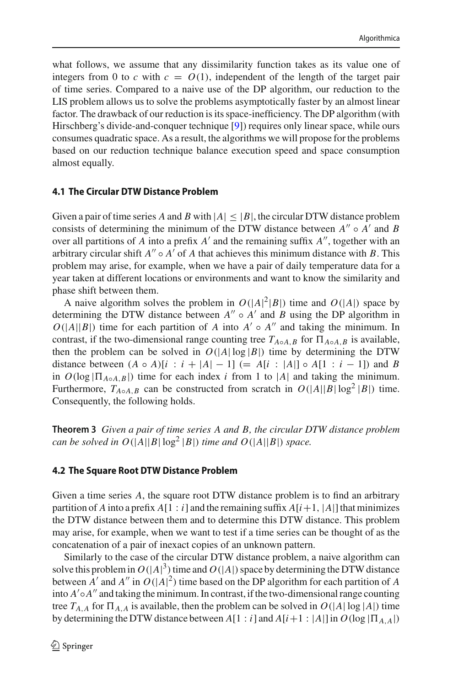what follows, we assume that any dissimilarity function takes as its value one of integers from 0 to *c* with  $c = O(1)$ , independent of the length of the target pair of time series. Compared to a naive use of the DP algorithm, our reduction to the LIS problem allows us to solve the problems asymptotically faster by an almost linear factor. The drawback of our reduction is its space-inefficiency. The DP algorithm (with Hirschberg's divide-and-conquer technique [\[9\]](#page-14-11)) requires only linear space, while ours consumes quadratic space. As a result, the algorithms we will propose for the problems based on our reduction technique balance execution speed and space consumption almost equally.

#### **4.1 The Circular DTW Distance Problem**

Given a pair of time series *A* and *B* with  $|A| < |B|$ , the circular DTW distance problem consists of determining the minimum of the DTW distance between  $A'' \circ A'$  and  $B$ over all partitions of *A* into a prefix  $A'$  and the remaining suffix  $A''$ , together with an arbitrary circular shift  $A'' \circ A'$  of A that achieves this minimum distance with B. This problem may arise, for example, when we have a pair of daily temperature data for a year taken at different locations or environments and want to know the similarity and phase shift between them.

A naive algorithm solves the problem in  $O(|A|^2|B|)$  time and  $O(|A|)$  space by determining the DTW distance between  $A'' \circ A'$  and  $B$  using the DP algorithm in  $O(|A||B|)$  time for each partition of *A* into  $A' \circ A''$  and taking the minimum. In contrast, if the two-dimensional range counting tree  $T_{A \circ A,B}$  for  $\Pi_{A \circ A,B}$  is available, then the problem can be solved in  $O(|A| \log |B|)$  time by determining the DTW distance between  $(A \circ A)[i : i + |A| - 1] (= A[i : |A|] \circ A[1 : i - 1])$  and *B* in  $O(\log |\Pi_{A \circ A \cdot B}|)$  time for each index *i* from 1 to |*A*| and taking the minimum. Furthermore,  $T_{A \circ A,B}$  can be constructed from scratch in  $O(|A||B|\log^2|B|)$  time. Consequently, the following holds.

**Theorem 3** *Given a pair of time series A and B, the circular DTW distance problem can be solved in*  $O(|A||B| \log^2 |B|)$  *time and*  $O(|A||B|)$  *space.* 

### **4.2 The Square Root DTW Distance Problem**

Given a time series *A*, the square root DTW distance problem is to find an arbitrary partition of *A* into a prefix  $A[1:i]$  and the remaining suffix  $A[i+1, |A|]$  that minimizes the DTW distance between them and to determine this DTW distance. This problem may arise, for example, when we want to test if a time series can be thought of as the concatenation of a pair of inexact copies of an unknown pattern.

Similarly to the case of the circular DTW distance problem, a naive algorithm can solve this problem in  $O(|A|^3)$  time and  $O(|A|)$  space by determining the DTW distance between *A'* and *A''* in  $O(|A|^2)$  time based on the DP algorithm for each partition of *A* into  $A' \circ A''$  and taking the minimum. In contrast, if the two-dimensional range counting tree  $T_{A,A}$  for  $\Pi_{A,A}$  is available, then the problem can be solved in  $O(|A| \log |A|)$  time by determining the DTW distance between  $A[1 : i]$  and  $A[i+1 : |A|]$  in  $O(\log |\Pi_{A,A}|)$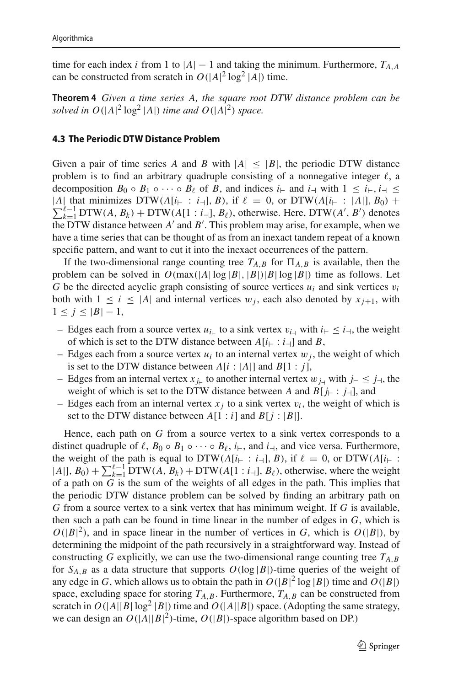time for each index *i* from 1 to  $|A| - 1$  and taking the minimum. Furthermore,  $T_{A,A}$ can be constructed from scratch in  $O(|A|^2 \log^2 |A|)$  time.

**Theorem 4** *Given a time series A, the square root DTW distance problem can be* solved in  $O(|A|^2 \log^2 |A|)$  *time and*  $O(|A|^2)$  *space.* 

#### **4.3 The Periodic DTW Distance Problem**

Given a pair of time series *A* and *B* with  $|A| \leq |B|$ , the periodic DTW distance problem is to find an arbitrary quadruple consisting of a nonnegative integer  $\ell$ , a decomposition  $B_0 \circ B_1 \circ \cdots \circ B_\ell$  of *B*, and indices *i*<sub>1</sub> and *i*<sub>1</sub> with  $1 \leq i_{\uparrow}, i_{\uparrow} \leq$  $\sum_{k=1}^{\ell-1}$  DTW(*A*, *B<sub>k</sub>*) + DTW(*A*[1 : *i*<sub>-1</sub>], *B<sub>t</sub>*), otherwise. Here, DTW(*A'*, *B'*) denotes |*A*| that minimizes DTW( $A[i_{\vdash} : i_{\dashv}], B$ ), if  $\ell = 0$ , or DTW( $A[i_{\vdash} : |A|], B_0$ ) + the DTW distance between *A'* and *B'*. This problem may arise, for example, when we have a time series that can be thought of as from an inexact tandem repeat of a known specific pattern, and want to cut it into the inexact occurrences of the pattern.

If the two-dimensional range counting tree  $T_{A,B}$  for  $\Pi_{A,B}$  is available, then the problem can be solved in  $O(\max(|A| \log |B|, |B|) |B| \log |B|)$  time as follows. Let *G* be the directed acyclic graph consisting of source vertices  $u_i$  and sink vertices  $v_i$ both with  $1 \leq i \leq |A|$  and internal vertices  $w_i$ , each also denoted by  $x_{i+1}$ , with  $1 \leq j \leq |B|-1$ ,

- Edges each from a source vertex  $u_{i_{+}}$  to a sink vertex  $v_{i_{+}}$  with  $i_{+} \leq i_{+}$ , the weight of which is set to the DTW distance between  $A[i] \colon i \to B$ ,
- Edges each from a source vertex  $u_i$  to an internal vertex  $w_i$ , the weight of which is set to the DTW distance between  $A[i : |A|]$  and  $B[1 : j]$ ,
- Edges from an internal vertex  $x_{j_{\text{r}}}$  to another internal vertex  $w_{j_{\text{r}}}$  with  $j_{\text{r}} \leq j_{\text{r}}$ , the weight of which is set to the DTW distance between *A* and  $B[j_{\vdash} : j_{\dashv}],$  and
- Edges each from an internal vertex  $x_i$  to a sink vertex  $v_i$ , the weight of which is set to the DTW distance between  $A[1:i]$  and  $B[j : |B|]$ .

Hence, each path on *G* from a source vertex to a sink vertex corresponds to a distinct quadruple of  $\ell$ ,  $B_0 \circ B_1 \circ \cdots \circ B_{\ell}$ ,  $i_{\vdash}$ , and  $i_{\dashv}$ , and vice versa. Furthermore, the weight of the path is equal to DTW( $A[i_{\vdash} : i_{\dashv}], B$ ), if  $\ell = 0$ , or DTW( $A[i_{\vdash} : i_{\vdash} ]$  $|A|, B_0$  +  $\sum_{k=1}^{\ell-1}$  DTW(*A*,  $B_k$ ) + DTW(*A*[1 : *i*<sub>-1</sub>],  $B_\ell$ ), otherwise, where the weight of a path on *G* is the sum of the weights of all edges in the path. This implies that the periodic DTW distance problem can be solved by finding an arbitrary path on *G* from a source vertex to a sink vertex that has minimum weight. If *G* is available, then such a path can be found in time linear in the number of edges in *G*, which is  $O(|B|^2)$ , and in space linear in the number of vertices in *G*, which is  $O(|B|)$ , by determining the midpoint of the path recursively in a straightforward way. Instead of constructing *G* explicitly, we can use the two-dimensional range counting tree  $T_{A,B}$ for  $S_{A,B}$  as a data structure that supports  $O(\log |B|)$ -time queries of the weight of any edge in *G*, which allows us to obtain the path in  $O(|B|^2 \log |B|)$  time and  $O(|B|)$ space, excluding space for storing  $T_{A,B}$ . Furthermore,  $T_{A,B}$  can be constructed from scratch in  $O(|A||B| \log^2 |B|)$  time and  $O(|A||B|)$  space. (Adopting the same strategy, we can design an  $O(|A||B|^2)$ -time,  $O(|B|)$ -space algorithm based on DP.)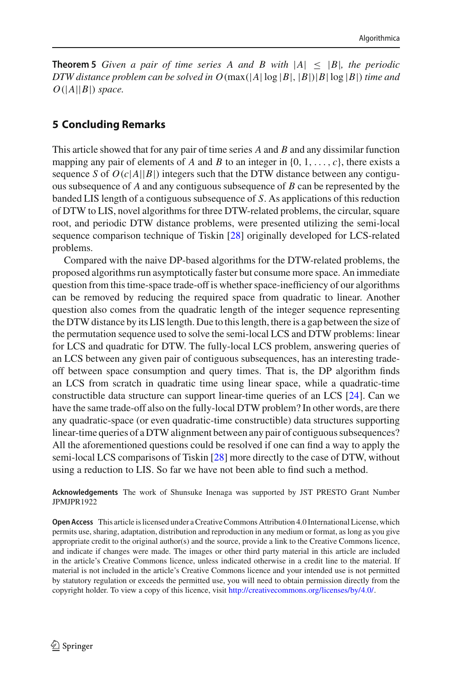**Theorem 5** *Given a pair of time series A and B with*  $|A| \leq |B|$ *, the periodic DTW distance problem can be solved in*  $O(\max(|A| \log |B|, |B|) |B| \log |B|)$  *time and*  $O(|A||B|)$  *space.* 

# **5 Concluding Remarks**

This article showed that for any pair of time series *A* and *B* and any dissimilar function mapping any pair of elements of *A* and *B* to an integer in  $\{0, 1, \ldots, c\}$ , there exists a sequence *S* of  $O(c|A||B|)$  integers such that the DTW distance between any contiguous subsequence of *A* and any contiguous subsequence of *B* can be represented by the banded LIS length of a contiguous subsequence of *S*. As applications of this reduction of DTW to LIS, novel algorithms for three DTW-related problems, the circular, square root, and periodic DTW distance problems, were presented utilizing the semi-local sequence comparison technique of Tiskin [\[28\]](#page-14-24) originally developed for LCS-related problems.

Compared with the naive DP-based algorithms for the DTW-related problems, the proposed algorithms run asymptotically faster but consume more space. An immediate question from this time-space trade-off is whether space-inefficiency of our algorithms can be removed by reducing the required space from quadratic to linear. Another question also comes from the quadratic length of the integer sequence representing the DTW distance by its LIS length. Due to this length, there is a gap between the size of the permutation sequence used to solve the semi-local LCS and DTW problems: linear for LCS and quadratic for DTW. The fully-local LCS problem, answering queries of an LCS between any given pair of contiguous subsequences, has an interesting tradeoff between space consumption and query times. That is, the DP algorithm finds an LCS from scratch in quadratic time using linear space, while a quadratic-time constructible data structure can support linear-time queries of an LCS [\[24\]](#page-14-29). Can we have the same trade-off also on the fully-local DTW problem? In other words, are there any quadratic-space (or even quadratic-time constructible) data structures supporting linear-time queries of a DTW alignment between any pair of contiguous subsequences? All the aforementioned questions could be resolved if one can find a way to apply the semi-local LCS comparisons of Tiskin [\[28\]](#page-14-24) more directly to the case of DTW, without using a reduction to LIS. So far we have not been able to find such a method.

**Acknowledgements** The work of Shunsuke Inenaga was supported by JST PRESTO Grant Number JPMJPR1922

**Open Access** This article is licensed under a Creative Commons Attribution 4.0 International License, which permits use, sharing, adaptation, distribution and reproduction in any medium or format, as long as you give appropriate credit to the original author(s) and the source, provide a link to the Creative Commons licence, and indicate if changes were made. The images or other third party material in this article are included in the article's Creative Commons licence, unless indicated otherwise in a credit line to the material. If material is not included in the article's Creative Commons licence and your intended use is not permitted by statutory regulation or exceeds the permitted use, you will need to obtain permission directly from the copyright holder. To view a copy of this licence, visit [http://creativecommons.org/licenses/by/4.0/.](http://creativecommons.org/licenses/by/4.0/)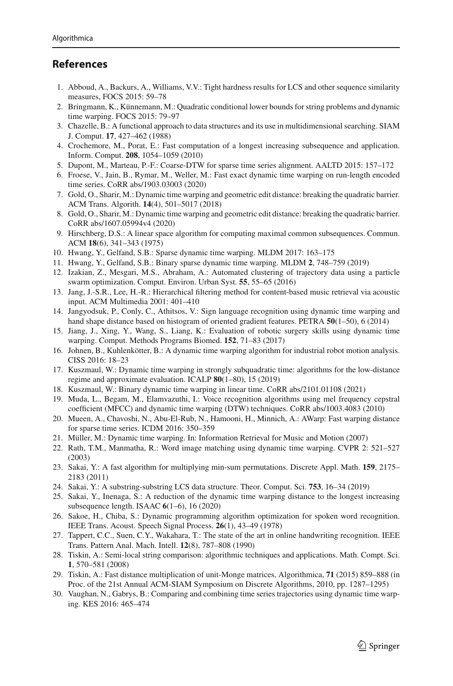# **References**

- <span id="page-14-12"></span>1. Abboud, A., Backurs, A., Williams, V.V.: Tight hardness results for LCS and other sequence similarity measures, FOCS 2015: 59–78
- <span id="page-14-13"></span>2. Bringmann, K., Künnemann, M.: Quadratic conditional lower bounds for string problems and dynamic time warping. FOCS 2015: 79–97
- <span id="page-14-28"></span>3. Chazelle, B.: A functional approach to data structures and its use in multidimensional searching. SIAM J. Comput. **17**, 427–462 (1988)
- <span id="page-14-25"></span>4. Crochemore, M., Porat, E.: Fast computation of a longest increasing subsequence and application. Inform. Comput. **208**, 1054–1059 (2010)
- <span id="page-14-21"></span>5. Dupont, M., Marteau, P.-F.: Coarse-DTW for sparse time series alignment. AALTD 2015: 157–172
- <span id="page-14-18"></span>6. Froese, V., Jain, B., Rymar, M., Weller, M.: Fast exact dynamic time warping on run-length encoded time series. CoRR abs/1903.03003 (2020)
- <span id="page-14-15"></span>7. Gold, O., Sharir, M.: Dynamic time warping and geometric edit distance: breaking the quadratic barrier. ACM Trans. Algorith. **14**(4), 501–5017 (2018)
- <span id="page-14-16"></span>8. Gold, O., Sharir, M.: Dynamic time warping and geometric edit distance: breaking the quadratic barrier. CoRR abs/1607.05994v4 (2020)
- <span id="page-14-11"></span>9. Hirschberg, D.S.: A linear space algorithm for computing maximal common subsequences. Commun. ACM **18**(6), 341–343 (1975)
- <span id="page-14-17"></span>10. Hwang, Y., Gelfand, S.B.: Sparse dynamic time warping. MLDM 2017: 163–175
- <span id="page-14-19"></span>11. Hwang, Y., Gelfand, S.B.: Binary sparse dynamic time warping. MLDM **2**, 748–759 (2019)
- <span id="page-14-7"></span>12. Izakian, Z., Mesgari, M.S., Abraham, A.: Automated clustering of trajectory data using a particle swarm optimization. Comput. Environ. Urban Syst. **55**, 55–65 (2016)
- <span id="page-14-4"></span>13. Jang, J.-S.R., Lee, H.-R.: Hierarchical filtering method for content-based music retrieval via acoustic input. ACM Multimedia 2001: 401–410
- <span id="page-14-3"></span>14. Jangyodsuk, P., Conly, C., Athitsos, V.: Sign language recognition using dynamic time warping and hand shape distance based on histogram of oriented gradient features. PETRA **50**(1–50), 6 (2014)
- <span id="page-14-5"></span>15. Jiang, J., Xing, Y., Wang, S., Liang, K.: Evaluation of robotic surgery skills using dynamic time warping. Comput. Methods Programs Biomed. **152**, 71–83 (2017)
- <span id="page-14-6"></span>16. Johnen, B., Kuhlenkötter, B.: A dynamic time warping algorithm for industrial robot motion analysis. CISS 2016: 18–23
- <span id="page-14-14"></span>17. Kuszmaul, W.: Dynamic time warping in strongly subquadratic time: algorithms for the low-distance regime and approximate evaluation. ICALP **80**(1–80), 15 (2019)
- <span id="page-14-22"></span>18. Kuszmaul, W.: Binary dynamic time warping in linear time. CoRR abs/2101.01108 (2021)
- <span id="page-14-9"></span>19. Muda, L., Begam, M., Elamvazuthi, I.: Voice recognition algorithms using mel frequency cepstral coefficient (MFCC) and dynamic time warping (DTW) techniques. CoRR abs/1003.4083 (2010)
- <span id="page-14-20"></span>20. Mueen, A., Chavoshi, N., Abu-El-Rub, N., Hamooni, H., Minnich, A.: AWarp: Fast warping distance for sparse time series. ICDM 2016: 350–359
- <span id="page-14-0"></span>21. Müller, M.: Dynamic time warping. In: Information Retrieval for Music and Motion (2007)
- <span id="page-14-1"></span>22. Rath, T.M., Manmatha, R.: Word image matching using dynamic time warping. CVPR 2: 521–527 (2003)
- <span id="page-14-27"></span>23. Sakai, Y.: A fast algorithm for multiplying min-sum permutations. Discrete Appl. Math. **159**, 2175– 2183 (2011)
- <span id="page-14-29"></span>24. Sakai, Y.: A substring-substring LCS data structure. Theor. Comput. Sci. **753**, 16–34 (2019)
- <span id="page-14-23"></span>25. Sakai, Y., Inenaga, S.: A reduction of the dynamic time warping distance to the longest increasing subsequence length. ISAAC **6**(1–6), 16 (2020)
- <span id="page-14-10"></span>26. Sakoe, H., Chiba, S.: Dynamic programming algorithm optimization for spoken word recognition. IEEE Trans. Acoust. Speech Signal Process. **26**(1), 43–49 (1978)
- <span id="page-14-2"></span>27. Tappert, C.C., Suen, C.Y., Wakahara, T.: The state of the art in online handwriting recognition. IEEE Trans. Pattern Anal. Mach. Intell. **12**(8), 787–808 (1990)
- <span id="page-14-24"></span>28. Tiskin, A.: Semi-local string comparison: algorithmic techniques and applications. Math. Compt. Sci. **1**, 570–581 (2008)
- <span id="page-14-26"></span>29. Tiskin, A.: Fast distance multiplication of unit-Monge matrices, Algorithmica, **71** (2015) 859–888 (in Proc. of the 21st Annual ACM-SIAM Symposium on Discrete Algorithms, 2010, pp. 1287–1295)
- <span id="page-14-8"></span>30. Vaughan, N., Gabrys, B.: Comparing and combining time series trajectories using dynamic time warping. KES 2016: 465–474